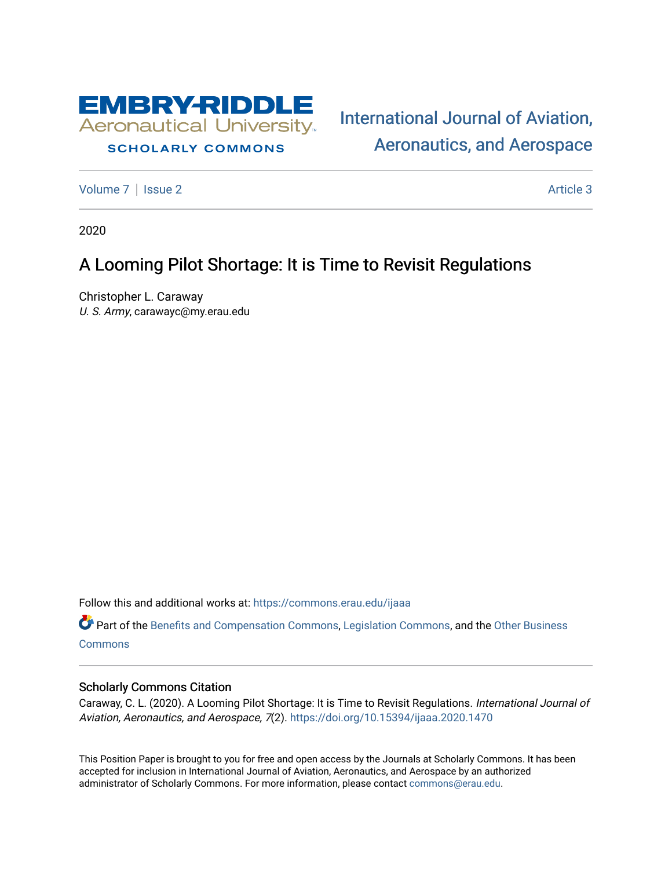

## **SCHOLARLY COMMONS**

[International Journal of Aviation,](https://commons.erau.edu/ijaaa)  [Aeronautics, and Aerospace](https://commons.erau.edu/ijaaa) 

[Volume 7](https://commons.erau.edu/ijaaa/vol7) | [Issue 2](https://commons.erau.edu/ijaaa/vol7/iss2) Article 3

2020

# A Looming Pilot Shortage: It is Time to Revisit Regulations

Christopher L. Caraway U. S. Army, carawayc@my.erau.edu

Follow this and additional works at: [https://commons.erau.edu/ijaaa](https://commons.erau.edu/ijaaa?utm_source=commons.erau.edu%2Fijaaa%2Fvol7%2Fiss2%2F3&utm_medium=PDF&utm_campaign=PDFCoverPages) 

Part of the [Benefits and Compensation Commons,](http://network.bepress.com/hgg/discipline/1255?utm_source=commons.erau.edu%2Fijaaa%2Fvol7%2Fiss2%2F3&utm_medium=PDF&utm_campaign=PDFCoverPages) [Legislation Commons](http://network.bepress.com/hgg/discipline/859?utm_source=commons.erau.edu%2Fijaaa%2Fvol7%2Fiss2%2F3&utm_medium=PDF&utm_campaign=PDFCoverPages), and the [Other Business](http://network.bepress.com/hgg/discipline/647?utm_source=commons.erau.edu%2Fijaaa%2Fvol7%2Fiss2%2F3&utm_medium=PDF&utm_campaign=PDFCoverPages)  **[Commons](http://network.bepress.com/hgg/discipline/647?utm_source=commons.erau.edu%2Fijaaa%2Fvol7%2Fiss2%2F3&utm_medium=PDF&utm_campaign=PDFCoverPages)** 

### Scholarly Commons Citation

Caraway, C. L. (2020). A Looming Pilot Shortage: It is Time to Revisit Regulations. International Journal of Aviation, Aeronautics, and Aerospace, 7(2).<https://doi.org/10.15394/ijaaa.2020.1470>

This Position Paper is brought to you for free and open access by the Journals at Scholarly Commons. It has been accepted for inclusion in International Journal of Aviation, Aeronautics, and Aerospace by an authorized administrator of Scholarly Commons. For more information, please contact [commons@erau.edu](mailto:commons@erau.edu).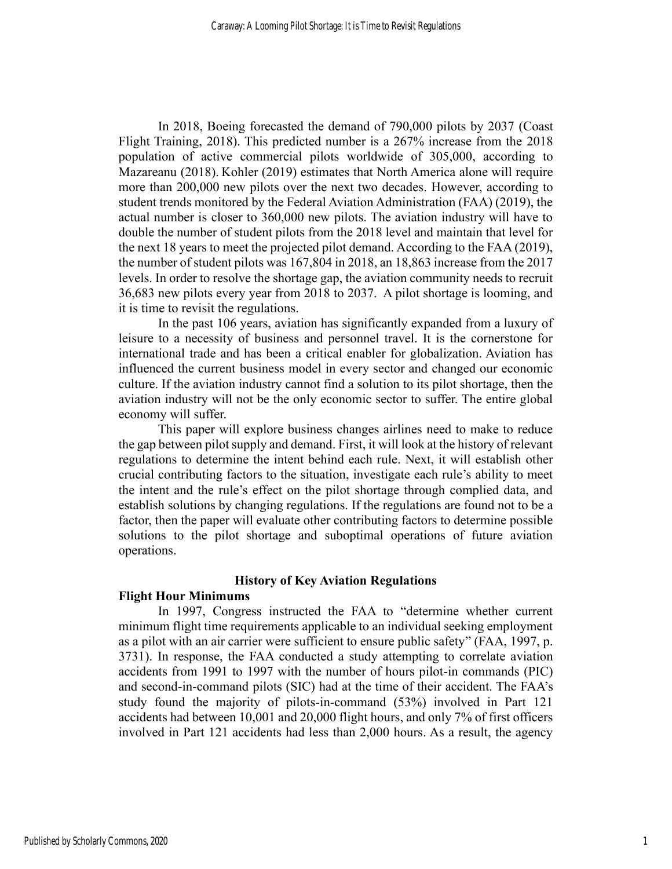In 2018, Boeing forecasted the demand of 790,000 pilots by 2037 (Coast Flight Training, 2018). This predicted number is a 267% increase from the 2018 population of active commercial pilots worldwide of 305,000, according to Mazareanu (2018). Kohler (2019) estimates that North America alone will require more than 200,000 new pilots over the next two decades. However, according to student trends monitored by the Federal Aviation Administration (FAA) (2019), the actual number is closer to 360,000 new pilots. The aviation industry will have to double the number of student pilots from the 2018 level and maintain that level for the next 18 years to meet the projected pilot demand. According to the FAA (2019), the number of student pilots was 167,804 in 2018, an 18,863 increase from the 2017 levels. In order to resolve the shortage gap, the aviation community needs to recruit 36,683 new pilots every year from 2018 to 2037. A pilot shortage is looming, and it is time to revisit the regulations.

In the past 106 years, aviation has significantly expanded from a luxury of leisure to a necessity of business and personnel travel. It is the cornerstone for international trade and has been a critical enabler for globalization. Aviation has influenced the current business model in every sector and changed our economic culture. If the aviation industry cannot find a solution to its pilot shortage, then the aviation industry will not be the only economic sector to suffer. The entire global economy will suffer.

This paper will explore business changes airlines need to make to reduce the gap between pilot supply and demand. First, it will look at the history of relevant regulations to determine the intent behind each rule. Next, it will establish other crucial contributing factors to the situation, investigate each rule's ability to meet the intent and the rule's effect on the pilot shortage through complied data, and establish solutions by changing regulations. If the regulations are found not to be a factor, then the paper will evaluate other contributing factors to determine possible solutions to the pilot shortage and suboptimal operations of future aviation operations.

## **History of Key Aviation Regulations**

## **Flight Hour Minimums**

In 1997, Congress instructed the FAA to "determine whether current minimum flight time requirements applicable to an individual seeking employment as a pilot with an air carrier were sufficient to ensure public safety" (FAA, 1997, p. 3731). In response, the FAA conducted a study attempting to correlate aviation accidents from 1991 to 1997 with the number of hours pilot-in commands (PIC) and second-in-command pilots (SIC) had at the time of their accident. The FAA's study found the majority of pilots-in-command (53%) involved in Part 121 accidents had between 10,001 and 20,000 flight hours, and only 7% of first officers involved in Part 121 accidents had less than 2,000 hours. As a result, the agency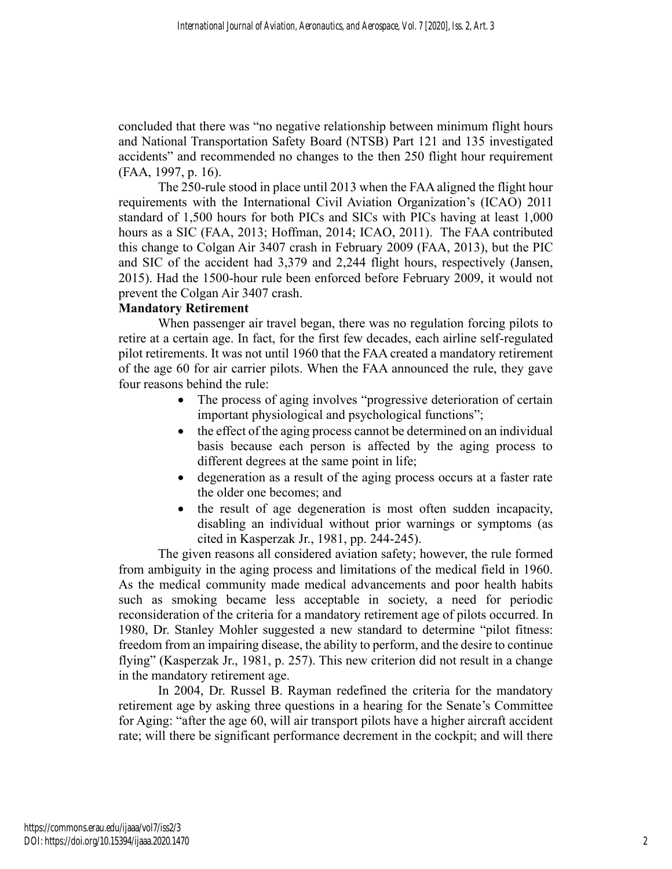concluded that there was "no negative relationship between minimum flight hours and National Transportation Safety Board (NTSB) Part 121 and 135 investigated accidents" and recommended no changes to the then 250 flight hour requirement (FAA, 1997, p. 16).

The 250-rule stood in place until 2013 when the FAA aligned the flight hour requirements with the International Civil Aviation Organization's (ICAO) 2011 standard of 1,500 hours for both PICs and SICs with PICs having at least 1,000 hours as a SIC (FAA, 2013; Hoffman, 2014; ICAO, 2011). The FAA contributed this change to Colgan Air 3407 crash in February 2009 (FAA, 2013), but the PIC and SIC of the accident had 3,379 and 2,244 flight hours, respectively (Jansen, 2015). Had the 1500-hour rule been enforced before February 2009, it would not prevent the Colgan Air 3407 crash.

## **Mandatory Retirement**

When passenger air travel began, there was no regulation forcing pilots to retire at a certain age. In fact, for the first few decades, each airline self-regulated pilot retirements. It was not until 1960 that the FAA created a mandatory retirement of the age 60 for air carrier pilots. When the FAA announced the rule, they gave four reasons behind the rule:

- The process of aging involves "progressive deterioration of certain important physiological and psychological functions";
- the effect of the aging process cannot be determined on an individual basis because each person is affected by the aging process to different degrees at the same point in life;
- degeneration as a result of the aging process occurs at a faster rate the older one becomes; and
- the result of age degeneration is most often sudden incapacity, disabling an individual without prior warnings or symptoms (as cited in Kasperzak Jr., 1981, pp. 244-245).

The given reasons all considered aviation safety; however, the rule formed from ambiguity in the aging process and limitations of the medical field in 1960. As the medical community made medical advancements and poor health habits such as smoking became less acceptable in society, a need for periodic reconsideration of the criteria for a mandatory retirement age of pilots occurred. In 1980, Dr. Stanley Mohler suggested a new standard to determine "pilot fitness: freedom from an impairing disease, the ability to perform, and the desire to continue flying" (Kasperzak Jr., 1981, p. 257). This new criterion did not result in a change in the mandatory retirement age.

In 2004, Dr. Russel B. Rayman redefined the criteria for the mandatory retirement age by asking three questions in a hearing for the Senate's Committee for Aging: "after the age 60, will air transport pilots have a higher aircraft accident rate; will there be significant performance decrement in the cockpit; and will there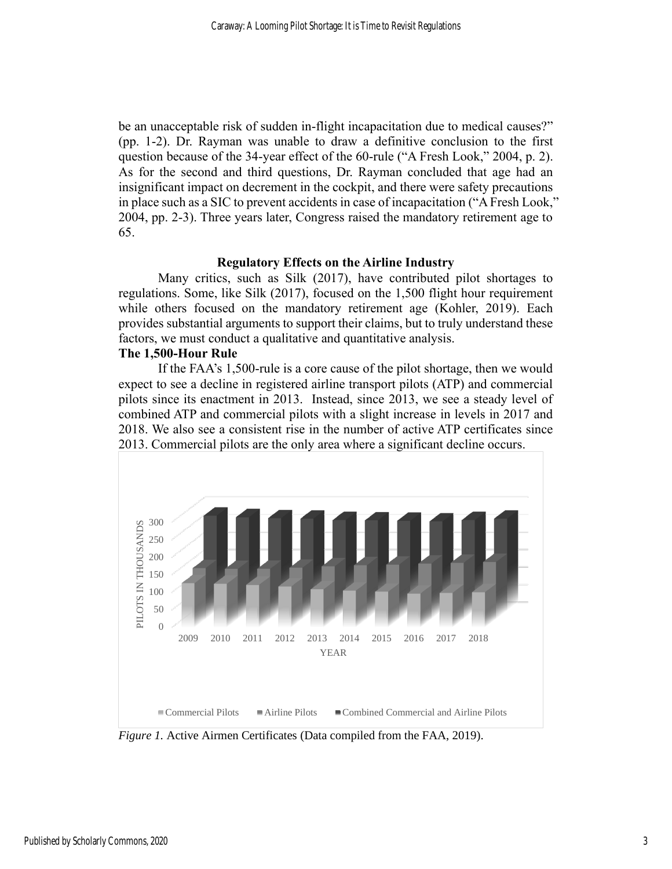be an unacceptable risk of sudden in-flight incapacitation due to medical causes?" (pp. 1-2). Dr. Rayman was unable to draw a definitive conclusion to the first question because of the 34-year effect of the 60-rule ("A Fresh Look," 2004, p. 2). As for the second and third questions, Dr. Rayman concluded that age had an insignificant impact on decrement in the cockpit, and there were safety precautions in place such as a SIC to prevent accidents in case of incapacitation ("A Fresh Look," 2004, pp. 2-3). Three years later, Congress raised the mandatory retirement age to 65.

### **Regulatory Effects on the Airline Industry**

Many critics, such as Silk (2017), have contributed pilot shortages to regulations. Some, like Silk (2017), focused on the 1,500 flight hour requirement while others focused on the mandatory retirement age (Kohler, 2019). Each provides substantial arguments to support their claims, but to truly understand these factors, we must conduct a qualitative and quantitative analysis.

### **The 1,500-Hour Rule**

If the FAA's 1,500-rule is a core cause of the pilot shortage, then we would expect to see a decline in registered airline transport pilots (ATP) and commercial pilots since its enactment in 2013. Instead, since 2013, we see a steady level of combined ATP and commercial pilots with a slight increase in levels in 2017 and 2018. We also see a consistent rise in the number of active ATP certificates since 2013. Commercial pilots are the only area where a significant decline occurs.



*Figure 1.* Active Airmen Certificates (Data compiled from the FAA, 2019).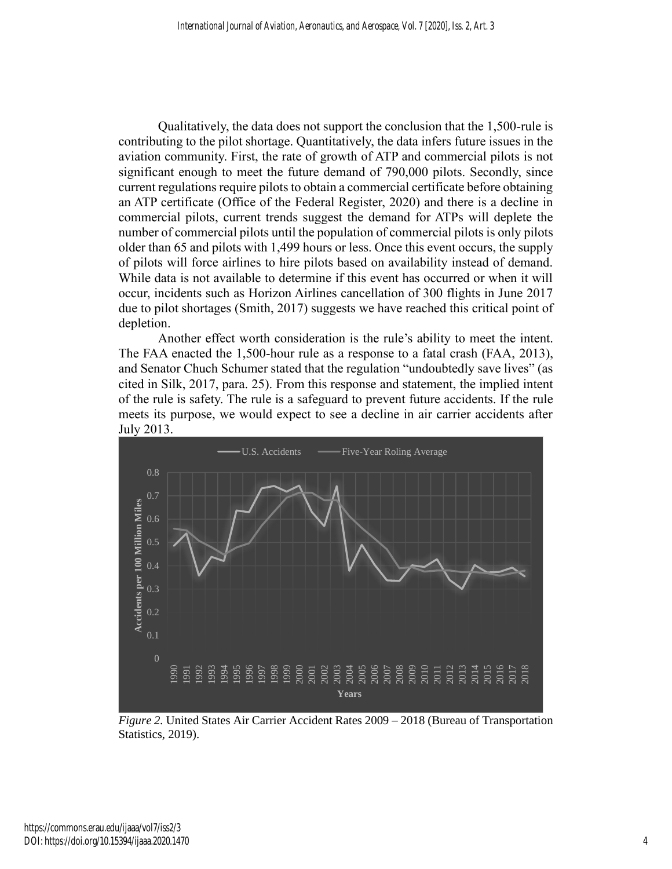Qualitatively, the data does not support the conclusion that the 1,500-rule is contributing to the pilot shortage. Quantitatively, the data infers future issues in the aviation community. First, the rate of growth of ATP and commercial pilots is not significant enough to meet the future demand of 790,000 pilots. Secondly, since current regulations require pilots to obtain a commercial certificate before obtaining an ATP certificate (Office of the Federal Register, 2020) and there is a decline in commercial pilots, current trends suggest the demand for ATPs will deplete the number of commercial pilots until the population of commercial pilots is only pilots older than 65 and pilots with 1,499 hours or less. Once this event occurs, the supply of pilots will force airlines to hire pilots based on availability instead of demand. While data is not available to determine if this event has occurred or when it will occur, incidents such as Horizon Airlines cancellation of 300 flights in June 2017 due to pilot shortages (Smith, 2017) suggests we have reached this critical point of depletion.

Another effect worth consideration is the rule's ability to meet the intent. The FAA enacted the 1,500-hour rule as a response to a fatal crash (FAA, 2013), and Senator Chuch Schumer stated that the regulation "undoubtedly save lives" (as cited in Silk, 2017, para. 25). From this response and statement, the implied intent of the rule is safety. The rule is a safeguard to prevent future accidents. If the rule meets its purpose, we would expect to see a decline in air carrier accidents after July 2013.



*Figure 2.* United States Air Carrier Accident Rates 2009 – 2018 (Bureau of Transportation Statistics, 2019).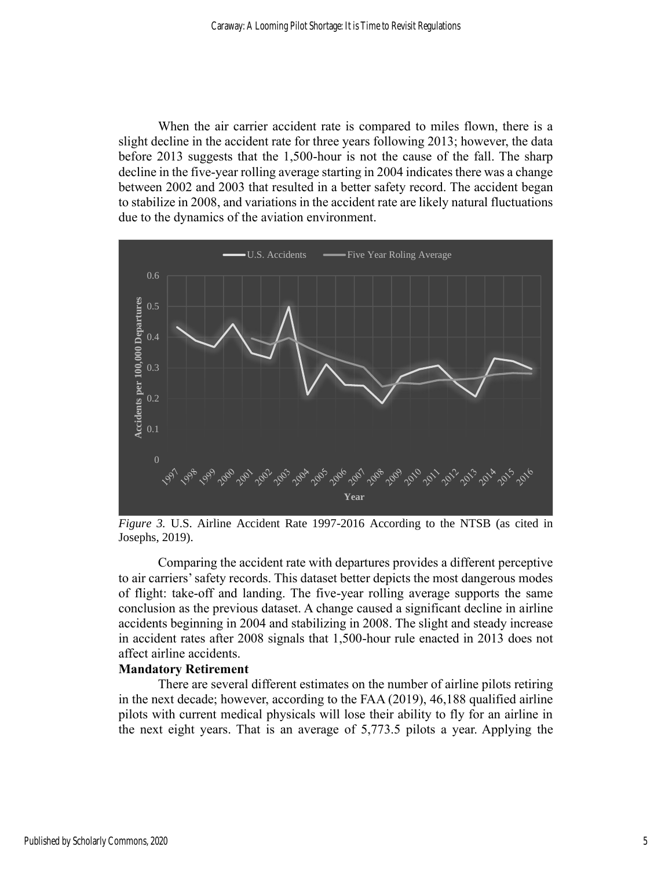When the air carrier accident rate is compared to miles flown, there is a slight decline in the accident rate for three years following 2013; however, the data before 2013 suggests that the 1,500-hour is not the cause of the fall. The sharp decline in the five-year rolling average starting in 2004 indicates there was a change between 2002 and 2003 that resulted in a better safety record. The accident began to stabilize in 2008, and variations in the accident rate are likely natural fluctuations due to the dynamics of the aviation environment.



*Figure 3.* U.S. Airline Accident Rate 1997-2016 According to the NTSB (as cited in Josephs, 2019).

Comparing the accident rate with departures provides a different perceptive to air carriers'safety records. This dataset better depicts the most dangerous modes of flight: take-off and landing. The five-year rolling average supports the same conclusion as the previous dataset. A change caused a significant decline in airline accidents beginning in 2004 and stabilizing in 2008. The slight and steady increase in accident rates after 2008 signals that 1,500-hour rule enacted in 2013 does not affect airline accidents.

#### **Mandatory Retirement**

There are several different estimates on the number of airline pilots retiring in the next decade; however, according to the FAA (2019), 46,188 qualified airline pilots with current medical physicals will lose their ability to fly for an airline in the next eight years. That is an average of 5,773.5 pilots a year. Applying the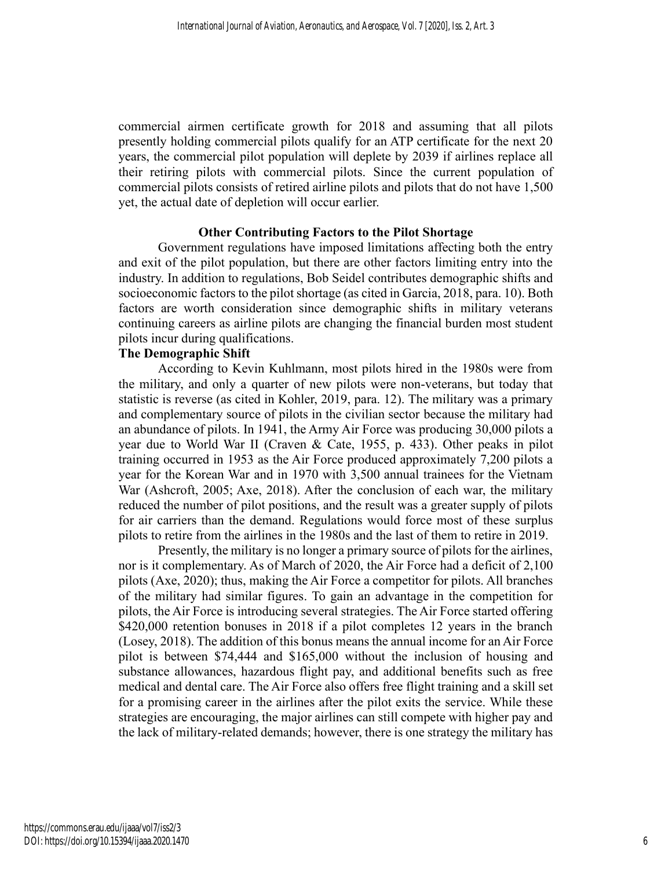commercial airmen certificate growth for 2018 and assuming that all pilots presently holding commercial pilots qualify for an ATP certificate for the next 20 years, the commercial pilot population will deplete by 2039 if airlines replace all their retiring pilots with commercial pilots. Since the current population of commercial pilots consists of retired airline pilots and pilots that do not have 1,500 yet, the actual date of depletion will occur earlier.

## **Other Contributing Factors to the Pilot Shortage**

Government regulations have imposed limitations affecting both the entry and exit of the pilot population, but there are other factors limiting entry into the industry. In addition to regulations, Bob Seidel contributes demographic shifts and socioeconomic factors to the pilot shortage (as cited in Garcia, 2018, para. 10). Both factors are worth consideration since demographic shifts in military veterans continuing careers as airline pilots are changing the financial burden most student pilots incur during qualifications.

## **The Demographic Shift**

According to Kevin Kuhlmann, most pilots hired in the 1980s were from the military, and only a quarter of new pilots were non-veterans, but today that statistic is reverse (as cited in Kohler, 2019, para. 12). The military was a primary and complementary source of pilots in the civilian sector because the military had an abundance of pilots. In 1941, the Army Air Force was producing 30,000 pilots a year due to World War II (Craven & Cate, 1955, p. 433). Other peaks in pilot training occurred in 1953 as the Air Force produced approximately 7,200 pilots a year for the Korean War and in 1970 with 3,500 annual trainees for the Vietnam War (Ashcroft, 2005; Axe, 2018). After the conclusion of each war, the military reduced the number of pilot positions, and the result was a greater supply of pilots for air carriers than the demand. Regulations would force most of these surplus pilots to retire from the airlines in the 1980s and the last of them to retire in 2019.

Presently, the military is no longer a primary source of pilots for the airlines, nor is it complementary. As of March of 2020, the Air Force had a deficit of 2,100 pilots (Axe, 2020); thus, making the Air Force a competitor for pilots. All branches of the military had similar figures. To gain an advantage in the competition for pilots, the Air Force is introducing several strategies. The Air Force started offering \$420,000 retention bonuses in 2018 if a pilot completes 12 years in the branch (Losey, 2018). The addition of this bonus means the annual income for an Air Force pilot is between \$74,444 and \$165,000 without the inclusion of housing and substance allowances, hazardous flight pay, and additional benefits such as free medical and dental care. The Air Force also offers free flight training and a skill set for a promising career in the airlines after the pilot exits the service. While these strategies are encouraging, the major airlines can still compete with higher pay and the lack of military-related demands; however, there is one strategy the military has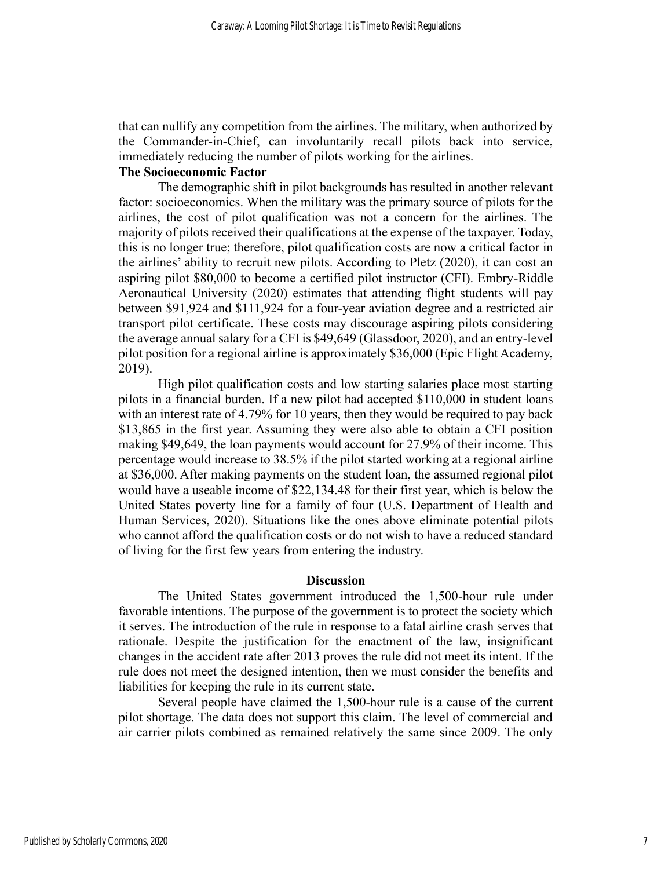that can nullify any competition from the airlines. The military, when authorized by the Commander-in-Chief, can involuntarily recall pilots back into service, immediately reducing the number of pilots working for the airlines.

## **The Socioeconomic Factor**

The demographic shift in pilot backgrounds has resulted in another relevant factor: socioeconomics. When the military was the primary source of pilots for the airlines, the cost of pilot qualification was not a concern for the airlines. The majority of pilots received their qualifications at the expense of the taxpayer. Today, this is no longer true; therefore, pilot qualification costs are now a critical factor in the airlines' ability to recruit new pilots. According to Pletz (2020), it can cost an aspiring pilot \$80,000 to become a certified pilot instructor (CFI). Embry-Riddle Aeronautical University (2020) estimates that attending flight students will pay between \$91,924 and \$111,924 for a four-year aviation degree and a restricted air transport pilot certificate. These costs may discourage aspiring pilots considering the average annual salary for a CFI is \$49,649 (Glassdoor, 2020), and an entry-level pilot position for a regional airline is approximately \$36,000 (Epic Flight Academy, 2019).

High pilot qualification costs and low starting salaries place most starting pilots in a financial burden. If a new pilot had accepted \$110,000 in student loans with an interest rate of 4.79% for 10 years, then they would be required to pay back \$13,865 in the first year. Assuming they were also able to obtain a CFI position making \$49,649, the loan payments would account for 27.9% of their income. This percentage would increase to 38.5% if the pilot started working at a regional airline at \$36,000. After making payments on the student loan, the assumed regional pilot would have a useable income of \$22,134.48 for their first year, which is below the United States poverty line for a family of four (U.S. Department of Health and Human Services, 2020). Situations like the ones above eliminate potential pilots who cannot afford the qualification costs or do not wish to have a reduced standard of living for the first few years from entering the industry.

#### **Discussion**

The United States government introduced the 1,500-hour rule under favorable intentions. The purpose of the government is to protect the society which it serves. The introduction of the rule in response to a fatal airline crash serves that rationale. Despite the justification for the enactment of the law, insignificant changes in the accident rate after 2013 proves the rule did not meet its intent. If the rule does not meet the designed intention, then we must consider the benefits and liabilities for keeping the rule in its current state.

Several people have claimed the 1,500-hour rule is a cause of the current pilot shortage. The data does not support this claim. The level of commercial and air carrier pilots combined as remained relatively the same since 2009. The only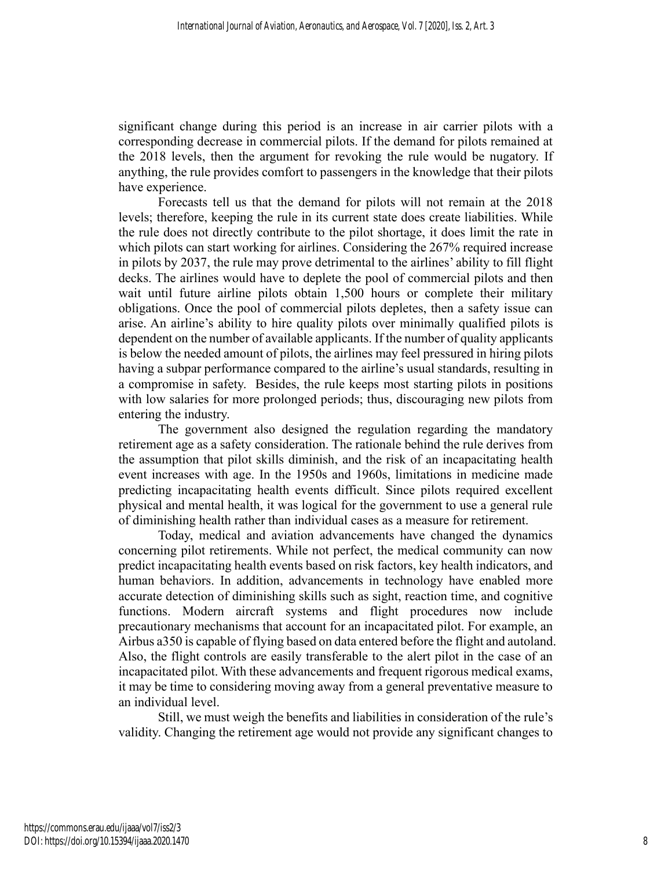significant change during this period is an increase in air carrier pilots with a corresponding decrease in commercial pilots. If the demand for pilots remained at the 2018 levels, then the argument for revoking the rule would be nugatory. If anything, the rule provides comfort to passengers in the knowledge that their pilots have experience.

Forecasts tell us that the demand for pilots will not remain at the 2018 levels; therefore, keeping the rule in its current state does create liabilities. While the rule does not directly contribute to the pilot shortage, it does limit the rate in which pilots can start working for airlines. Considering the 267% required increase in pilots by 2037, the rule may prove detrimental to the airlines' ability to fill flight decks. The airlines would have to deplete the pool of commercial pilots and then wait until future airline pilots obtain 1,500 hours or complete their military obligations. Once the pool of commercial pilots depletes, then a safety issue can arise. An airline's ability to hire quality pilots over minimally qualified pilots is dependent on the number of available applicants. If the number of quality applicants is below the needed amount of pilots, the airlines may feel pressured in hiring pilots having a subpar performance compared to the airline's usual standards, resulting in a compromise in safety. Besides, the rule keeps most starting pilots in positions with low salaries for more prolonged periods; thus, discouraging new pilots from entering the industry.

The government also designed the regulation regarding the mandatory retirement age as a safety consideration. The rationale behind the rule derives from the assumption that pilot skills diminish, and the risk of an incapacitating health event increases with age. In the 1950s and 1960s, limitations in medicine made predicting incapacitating health events difficult. Since pilots required excellent physical and mental health, it was logical for the government to use a general rule of diminishing health rather than individual cases as a measure for retirement.

Today, medical and aviation advancements have changed the dynamics concerning pilot retirements. While not perfect, the medical community can now predict incapacitating health events based on risk factors, key health indicators, and human behaviors. In addition, advancements in technology have enabled more accurate detection of diminishing skills such as sight, reaction time, and cognitive functions. Modern aircraft systems and flight procedures now include precautionary mechanisms that account for an incapacitated pilot. For example, an Airbus a350 is capable of flying based on data entered before the flight and autoland. Also, the flight controls are easily transferable to the alert pilot in the case of an incapacitated pilot. With these advancements and frequent rigorous medical exams, it may be time to considering moving away from a general preventative measure to an individual level.

Still, we must weigh the benefits and liabilities in consideration of the rule's validity. Changing the retirement age would not provide any significant changes to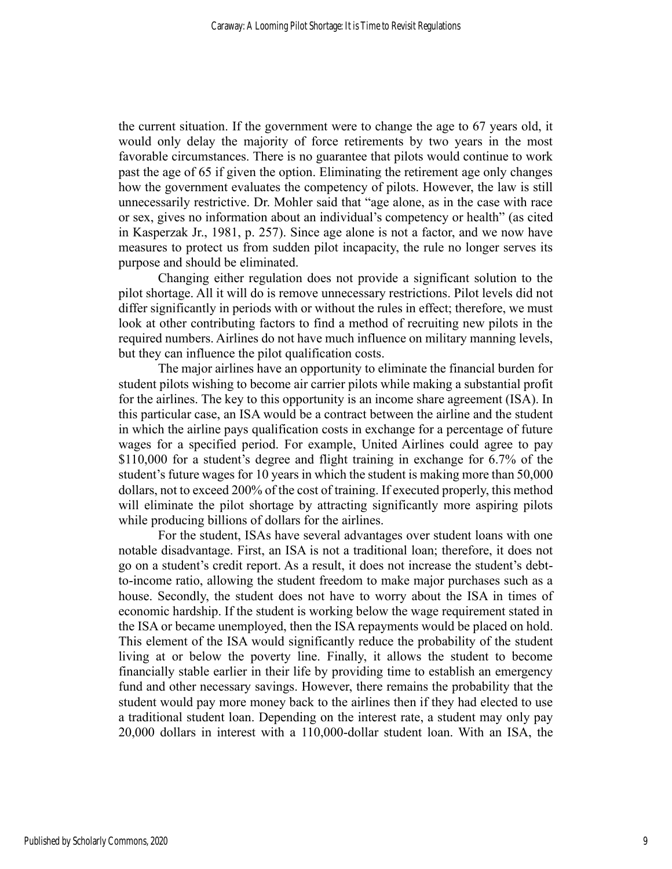the current situation. If the government were to change the age to 67 years old, it would only delay the majority of force retirements by two years in the most favorable circumstances. There is no guarantee that pilots would continue to work past the age of 65 if given the option. Eliminating the retirement age only changes how the government evaluates the competency of pilots. However, the law is still unnecessarily restrictive. Dr. Mohler said that "age alone, as in the case with race or sex, gives no information about an individual's competency or health" (as cited in Kasperzak Jr., 1981, p. 257). Since age alone is not a factor, and we now have measures to protect us from sudden pilot incapacity, the rule no longer serves its purpose and should be eliminated.

Changing either regulation does not provide a significant solution to the pilot shortage. All it will do is remove unnecessary restrictions. Pilot levels did not differ significantly in periods with or without the rules in effect; therefore, we must look at other contributing factors to find a method of recruiting new pilots in the required numbers. Airlines do not have much influence on military manning levels, but they can influence the pilot qualification costs.

The major airlines have an opportunity to eliminate the financial burden for student pilots wishing to become air carrier pilots while making a substantial profit for the airlines. The key to this opportunity is an income share agreement (ISA). In this particular case, an ISA would be a contract between the airline and the student in which the airline pays qualification costs in exchange for a percentage of future wages for a specified period. For example, United Airlines could agree to pay \$110,000 for a student's degree and flight training in exchange for 6.7% of the student's future wages for 10 years in which the student is making more than 50,000 dollars, not to exceed 200% of the cost of training. If executed properly, this method will eliminate the pilot shortage by attracting significantly more aspiring pilots while producing billions of dollars for the airlines.

For the student, ISAs have several advantages over student loans with one notable disadvantage. First, an ISA is not a traditional loan; therefore, it does not go on a student's credit report. As a result, it does not increase the student's debtto-income ratio, allowing the student freedom to make major purchases such as a house. Secondly, the student does not have to worry about the ISA in times of economic hardship. If the student is working below the wage requirement stated in the ISA or became unemployed, then the ISA repayments would be placed on hold. This element of the ISA would significantly reduce the probability of the student living at or below the poverty line. Finally, it allows the student to become financially stable earlier in their life by providing time to establish an emergency fund and other necessary savings. However, there remains the probability that the student would pay more money back to the airlines then if they had elected to use a traditional student loan. Depending on the interest rate, a student may only pay 20,000 dollars in interest with a 110,000-dollar student loan. With an ISA, the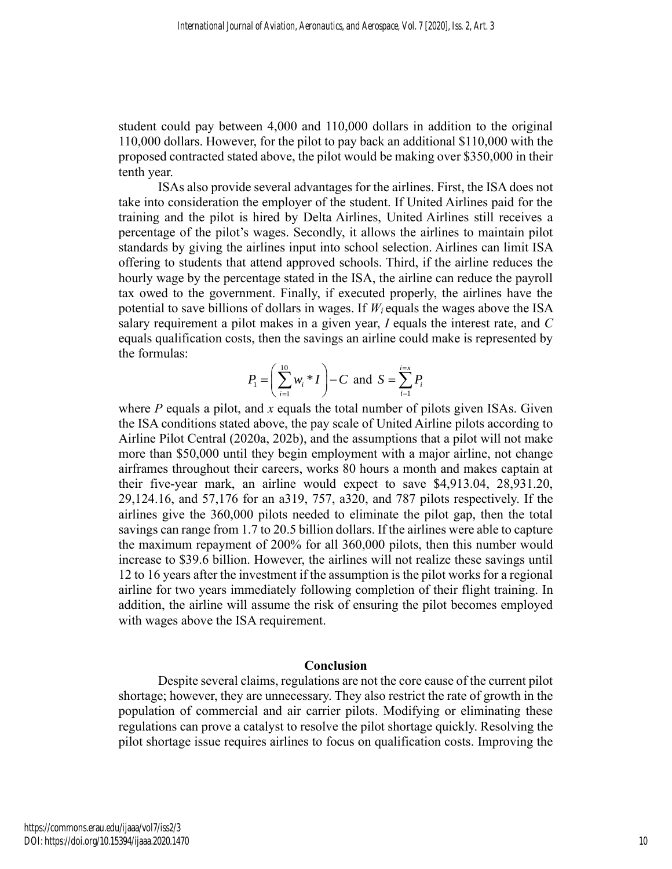student could pay between 4,000 and 110,000 dollars in addition to the original 110,000 dollars. However, for the pilot to pay back an additional \$110,000 with the proposed contracted stated above, the pilot would be making over \$350,000 in their tenth year.

ISAs also provide several advantages for the airlines. First, the ISA does not take into consideration the employer of the student. If United Airlines paid for the training and the pilot is hired by Delta Airlines, United Airlines still receives a percentage of the pilot's wages. Secondly, it allows the airlines to maintain pilot standards by giving the airlines input into school selection. Airlines can limit ISA offering to students that attend approved schools. Third, if the airline reduces the hourly wage by the percentage stated in the ISA, the airline can reduce the payroll tax owed to the government. Finally, if executed properly, the airlines have the potential to save billions of dollars in wages. If  $W_i$  equals the wages above the ISA salary requirement a pilot makes in a given year, *I* equals the interest rate, and *C* equals qualification costs, then the savings an airline could make is represented by the formulas:

$$
P_1 = \left(\sum_{i=1}^{10} w_i * I\right) - C \text{ and } S = \sum_{i=1}^{i=x} P_i
$$

where *P* equals a pilot, and *x* equals the total number of pilots given ISAs. Given the ISA conditions stated above, the pay scale of United Airline pilots according to Airline Pilot Central (2020a, 202b), and the assumptions that a pilot will not make more than \$50,000 until they begin employment with a major airline, not change airframes throughout their careers, works 80 hours a month and makes captain at their five-year mark, an airline would expect to save \$4,913.04, 28,931.20, 29,124.16, and 57,176 for an a319, 757, a320, and 787 pilots respectively. If the airlines give the 360,000 pilots needed to eliminate the pilot gap, then the total savings can range from 1.7 to 20.5 billion dollars. If the airlines were able to capture the maximum repayment of 200% for all 360,000 pilots, then this number would increase to \$39.6 billion. However, the airlines will not realize these savings until 12 to 16 years after the investment if the assumption is the pilot works for a regional airline for two years immediately following completion of their flight training. In addition, the airline will assume the risk of ensuring the pilot becomes employed with wages above the ISA requirement.

#### **Conclusion**

Despite several claims, regulations are not the core cause of the current pilot shortage; however, they are unnecessary. They also restrict the rate of growth in the population of commercial and air carrier pilots. Modifying or eliminating these regulations can prove a catalyst to resolve the pilot shortage quickly. Resolving the pilot shortage issue requires airlines to focus on qualification costs. Improving the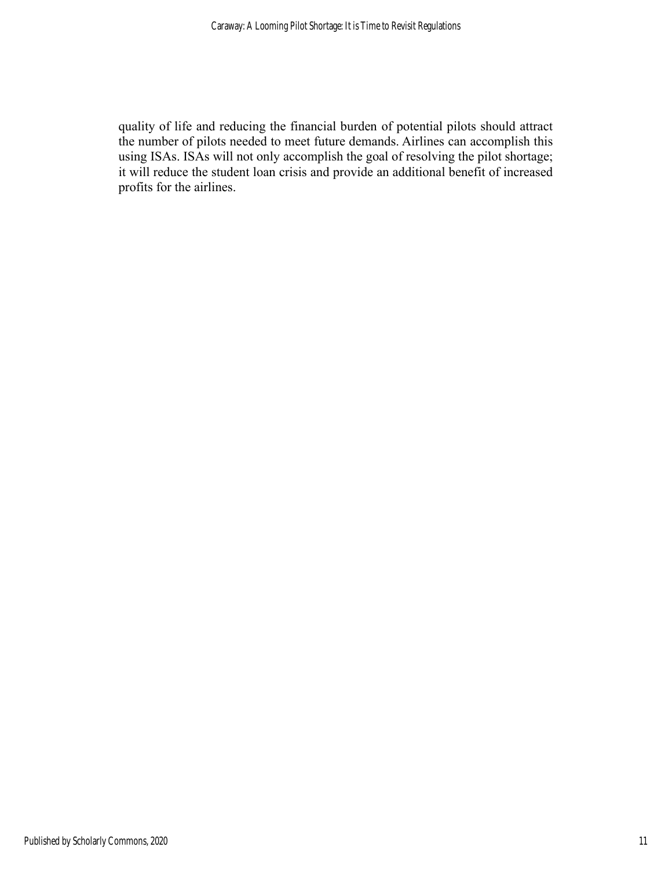quality of life and reducing the financial burden of potential pilots should attract the number of pilots needed to meet future demands. Airlines can accomplish this using ISAs. ISAs will not only accomplish the goal of resolving the pilot shortage; it will reduce the student loan crisis and provide an additional benefit of increased profits for the airlines.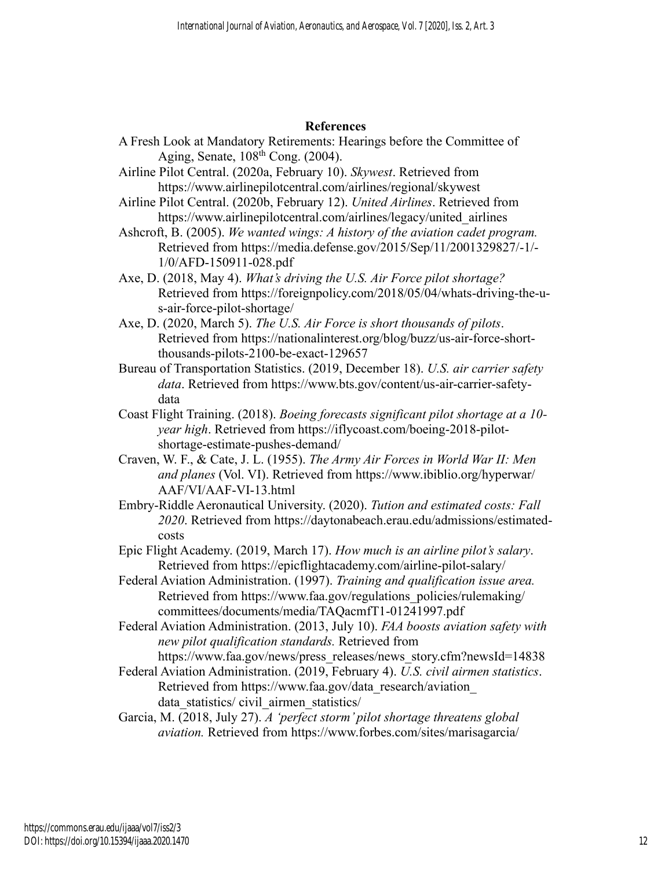## **References**

- A Fresh Look at Mandatory Retirements: Hearings before the Committee of Aging, Senate,  $108<sup>th</sup>$  Cong. (2004).
- Airline Pilot Central. (2020a, February 10). *Skywest*. Retrieved from https://www.airlinepilotcentral.com/airlines/regional/skywest
- Airline Pilot Central. (2020b, February 12). *United Airlines*. Retrieved from https://www.airlinepilotcentral.com/airlines/legacy/united\_airlines
- Ashcroft, B. (2005). *We wanted wings: A history of the aviation cadet program.* Retrieved from https://media.defense.gov/2015/Sep/11/2001329827/-1/- 1/0/AFD-150911-028.pdf
- Axe, D. (2018, May 4). *What's driving the U.S. Air Force pilot shortage?* Retrieved from https://foreignpolicy.com/2018/05/04/whats-driving-the-us-air-force-pilot-shortage/
- Axe, D. (2020, March 5). *The U.S. Air Force is short thousands of pilots*. Retrieved from https://nationalinterest.org/blog/buzz/us-air-force-shortthousands-pilots-2100-be-exact-129657
- Bureau of Transportation Statistics. (2019, December 18). *U.S. air carrier safety data*. Retrieved from https://www.bts.gov/content/us-air-carrier-safetydata
- Coast Flight Training. (2018). *Boeing forecasts significant pilot shortage at a 10 year high*. Retrieved from https://iflycoast.com/boeing-2018-pilotshortage-estimate-pushes-demand/
- Craven, W. F., & Cate, J. L. (1955). *The Army Air Forces in World War II: Men and planes* (Vol. VI). Retrieved from https://www.ibiblio.org/hyperwar/ AAF/VI/AAF-VI-13.html
- Embry-Riddle Aeronautical University. (2020). *Tution and estimated costs: Fall 2020*. Retrieved from https://daytonabeach.erau.edu/admissions/estimatedcosts
- Epic Flight Academy. (2019, March 17). *How much is an airline pilot's salary*. Retrieved from https://epicflightacademy.com/airline-pilot-salary/
- Federal Aviation Administration. (1997). *Training and qualification issue area.* Retrieved from https://www.faa.gov/regulations\_policies/rulemaking/ committees/documents/media/TAQacmfT1-01241997.pdf
- Federal Aviation Administration. (2013, July 10). *FAA boosts aviation safety with new pilot qualification standards.* Retrieved from https://www.faa.gov/news/press\_releases/news\_story.cfm?newsId=14838
- Federal Aviation Administration. (2019, February 4). *U.S. civil airmen statistics*. Retrieved from https://www.faa.gov/data\_research/aviation\_ data\_statistics/ civil\_airmen\_statistics/
- Garcia, M. (2018, July 27). *A 'perfect storm' pilot shortage threatens global aviation.* Retrieved from https://www.forbes.com/sites/marisagarcia/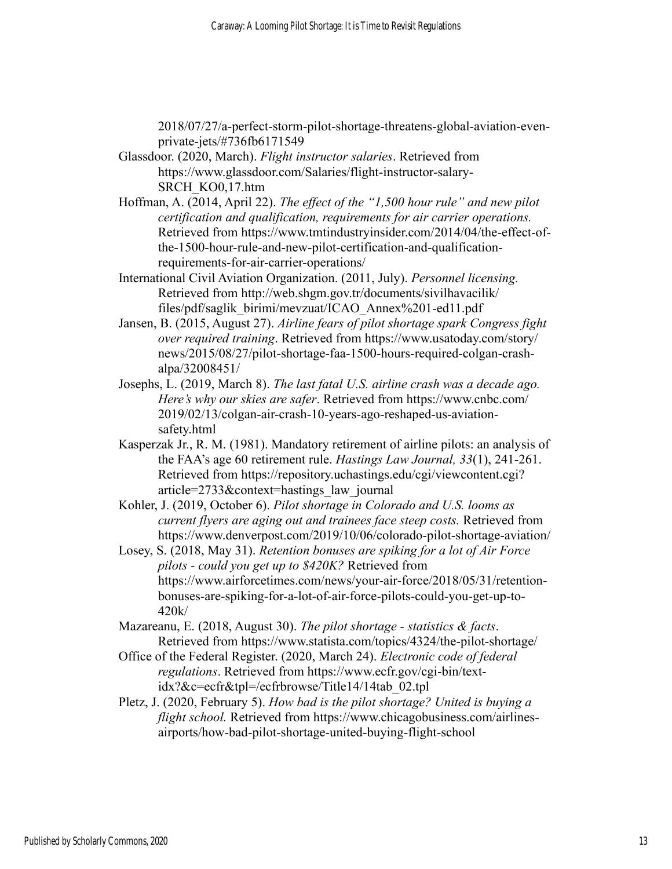2018/07/27/a-perfect-storm-pilot-shortage-threatens-global-aviation-evenprivate-jets/#736fb6171549

- Glassdoor. (2020, March). *Flight instructor salaries*. Retrieved from https://www.glassdoor.com/Salaries/flight-instructor-salary-SRCH\_KO0,17.htm
- Hoffman, A. (2014, April 22). *The effect of the "1,500 hour rule" and new pilot certification and qualification, requirements for air carrier operations.* Retrieved from https://www.tmtindustryinsider.com/2014/04/the-effect-ofthe-1500-hour-rule-and-new-pilot-certification-and-qualificationrequirements-for-air-carrier-operations/
- International Civil Aviation Organization. (2011, July). *Personnel licensing.* Retrieved from http://web.shgm.gov.tr/documents/sivilhavacilik/ files/pdf/saglik\_birimi/mevzuat/ICAO\_Annex%201-ed11.pdf
- Jansen, B. (2015, August 27). *Airline fears of pilot shortage spark Congress fight over required training*. Retrieved from https://www.usatoday.com/story/ news/2015/08/27/pilot-shortage-faa-1500-hours-required-colgan-crashalpa/32008451/
- Josephs, L. (2019, March 8). *The last fatal U.S. airline crash was a decade ago. Here's why our skies are safer*. Retrieved from https://www.cnbc.com/ 2019/02/13/colgan-air-crash-10-years-ago-reshaped-us-aviationsafety.html
- Kasperzak Jr., R. M. (1981). Mandatory retirement of airline pilots: an analysis of the FAA's age 60 retirement rule. *Hastings Law Journal, 33*(1), 241-261. Retrieved from https://repository.uchastings.edu/cgi/viewcontent.cgi? article=2733&context=hastings\_law\_journal
- Kohler, J. (2019, October 6). *Pilot shortage in Colorado and U.S. looms as current flyers are aging out and trainees face steep costs.* Retrieved from https://www.denverpost.com/2019/10/06/colorado-pilot-shortage-aviation/
- Losey, S. (2018, May 31). *Retention bonuses are spiking for a lot of Air Force pilots - could you get up to \$420K?* Retrieved from https://www.airforcetimes.com/news/your-air-force/2018/05/31/retentionbonuses-are-spiking-for-a-lot-of-air-force-pilots-could-you-get-up-to-420k/
- Mazareanu, E. (2018, August 30). *The pilot shortage - statistics & facts*. Retrieved from https://www.statista.com/topics/4324/the-pilot-shortage/
- Office of the Federal Register. (2020, March 24). *Electronic code of federal regulations*. Retrieved from https://www.ecfr.gov/cgi-bin/textidx?&c=ecfr&tpl=/ecfrbrowse/Title14/14tab\_02.tpl
- Pletz, J. (2020, February 5). *How bad is the pilot shortage? United is buying a flight school.* Retrieved from https://www.chicagobusiness.com/airlinesairports/how-bad-pilot-shortage-united-buying-flight-school